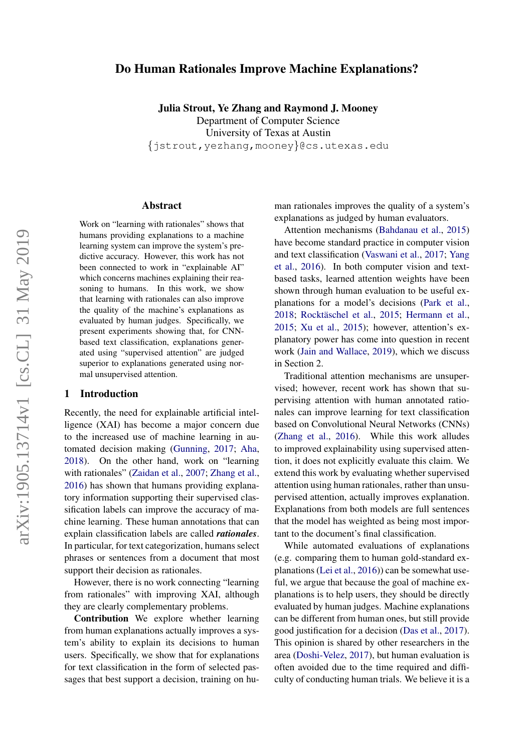# Do Human Rationales Improve Machine Explanations?

Julia Strout, Ye Zhang and Raymond J. Mooney

Department of Computer Science University of Texas at Austin {jstrout,yezhang,mooney}@cs.utexas.edu

#### Abstract

Work on "learning with rationales" shows that humans providing explanations to a machine learning system can improve the system's predictive accuracy. However, this work has not been connected to work in "explainable AI" which concerns machines explaining their reasoning to humans. In this work, we show that learning with rationales can also improve the quality of the machine's explanations as evaluated by human judges. Specifically, we present experiments showing that, for CNNbased text classification, explanations generated using "supervised attention" are judged superior to explanations generated using normal unsupervised attention.

#### 1 Introduction

Recently, the need for explainable artificial intelligence (XAI) has become a major concern due to the increased use of machine learning in automated decision making [\(Gunning,](#page-4-0) [2017;](#page-4-0) [Aha,](#page-4-1) [2018\)](#page-4-1). On the other hand, work on "learning with rationales" [\(Zaidan et al.,](#page-5-0) [2007;](#page-5-0) [Zhang et al.,](#page-5-1) [2016\)](#page-5-1) has shown that humans providing explanatory information supporting their supervised classification labels can improve the accuracy of machine learning. These human annotations that can explain classification labels are called *rationales*. In particular, for text categorization, humans select phrases or sentences from a document that most support their decision as rationales.

However, there is no work connecting "learning from rationales" with improving XAI, although they are clearly complementary problems.

Contribution We explore whether learning from human explanations actually improves a system's ability to explain its decisions to human users. Specifically, we show that for explanations for text classification in the form of selected passages that best support a decision, training on human rationales improves the quality of a system's explanations as judged by human evaluators.

Attention mechanisms [\(Bahdanau et al.,](#page-4-2) [2015\)](#page-4-2) have become standard practice in computer vision and text classification [\(Vaswani et al.,](#page-5-2) [2017;](#page-5-2) [Yang](#page-5-3) [et al.,](#page-5-3) [2016\)](#page-5-3). In both computer vision and textbased tasks, learned attention weights have been shown through human evaluation to be useful explanations for a model's decisions [\(Park et al.,](#page-5-4) [2018;](#page-5-4) Rocktäschel et al., [2015;](#page-5-5) [Hermann et al.,](#page-4-3) [2015;](#page-4-3) [Xu et al.,](#page-5-6) [2015\)](#page-5-6); however, attention's explanatory power has come into question in recent work [\(Jain and Wallace,](#page-4-4) [2019\)](#page-4-4), which we discuss in Section 2.

Traditional attention mechanisms are unsupervised; however, recent work has shown that supervising attention with human annotated rationales can improve learning for text classification based on Convolutional Neural Networks (CNNs) [\(Zhang et al.,](#page-5-1) [2016\)](#page-5-1). While this work alludes to improved explainability using supervised attention, it does not explicitly evaluate this claim. We extend this work by evaluating whether supervised attention using human rationales, rather than unsupervised attention, actually improves explanation. Explanations from both models are full sentences that the model has weighted as being most important to the document's final classification.

While automated evaluations of explanations (e.g. comparing them to human gold-standard explanations [\(Lei et al.,](#page-4-5) [2016\)](#page-4-5)) can be somewhat useful, we argue that because the goal of machine explanations is to help users, they should be directly evaluated by human judges. Machine explanations can be different from human ones, but still provide good justification for a decision [\(Das et al.,](#page-4-6) [2017\)](#page-4-6). This opinion is shared by other researchers in the area [\(Doshi-Velez,](#page-4-7) [2017\)](#page-4-7), but human evaluation is often avoided due to the time required and difficulty of conducting human trials. We believe it is a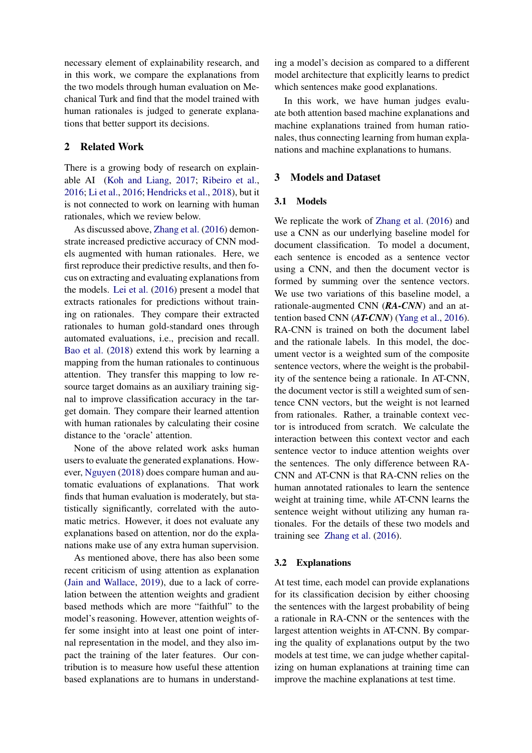necessary element of explainability research, and in this work, we compare the explanations from the two models through human evaluation on Mechanical Turk and find that the model trained with human rationales is judged to generate explanations that better support its decisions.

# 2 Related Work

There is a growing body of research on explainable AI [\(Koh and Liang,](#page-4-8) [2017;](#page-4-8) [Ribeiro et al.,](#page-5-7) [2016;](#page-5-7) [Li et al.,](#page-4-9) [2016;](#page-4-9) [Hendricks et al.,](#page-4-10) [2018\)](#page-4-10), but it is not connected to work on learning with human rationales, which we review below.

As discussed above, [Zhang et al.](#page-5-1) [\(2016\)](#page-5-1) demonstrate increased predictive accuracy of CNN models augmented with human rationales. Here, we first reproduce their predictive results, and then focus on extracting and evaluating explanations from the models. [Lei et al.](#page-4-5) [\(2016\)](#page-4-5) present a model that extracts rationales for predictions without training on rationales. They compare their extracted rationales to human gold-standard ones through automated evaluations, i.e., precision and recall. [Bao et al.](#page-4-11) [\(2018\)](#page-4-11) extend this work by learning a mapping from the human rationales to continuous attention. They transfer this mapping to low resource target domains as an auxiliary training signal to improve classification accuracy in the target domain. They compare their learned attention with human rationales by calculating their cosine distance to the 'oracle' attention.

None of the above related work asks human users to evaluate the generated explanations. However, [Nguyen](#page-5-8) [\(2018\)](#page-5-8) does compare human and automatic evaluations of explanations. That work finds that human evaluation is moderately, but statistically significantly, correlated with the automatic metrics. However, it does not evaluate any explanations based on attention, nor do the explanations make use of any extra human supervision.

As mentioned above, there has also been some recent criticism of using attention as explanation [\(Jain and Wallace,](#page-4-4) [2019\)](#page-4-4), due to a lack of correlation between the attention weights and gradient based methods which are more "faithful" to the model's reasoning. However, attention weights offer some insight into at least one point of internal representation in the model, and they also impact the training of the later features. Our contribution is to measure how useful these attention based explanations are to humans in understanding a model's decision as compared to a different model architecture that explicitly learns to predict which sentences make good explanations.

In this work, we have human judges evaluate both attention based machine explanations and machine explanations trained from human rationales, thus connecting learning from human explanations and machine explanations to humans.

# 3 Models and Dataset

### 3.1 Models

We replicate the work of [Zhang et al.](#page-5-1) [\(2016\)](#page-5-1) and use a CNN as our underlying baseline model for document classification. To model a document, each sentence is encoded as a sentence vector using a CNN, and then the document vector is formed by summing over the sentence vectors. We use two variations of this baseline model, a rationale-augmented CNN (*RA-CNN*) and an attention based CNN (*AT-CNN*) [\(Yang et al.,](#page-5-3) [2016\)](#page-5-3). RA-CNN is trained on both the document label and the rationale labels. In this model, the document vector is a weighted sum of the composite sentence vectors, where the weight is the probability of the sentence being a rationale. In AT-CNN, the document vector is still a weighted sum of sentence CNN vectors, but the weight is not learned from rationales. Rather, a trainable context vector is introduced from scratch. We calculate the interaction between this context vector and each sentence vector to induce attention weights over the sentences. The only difference between RA-CNN and AT-CNN is that RA-CNN relies on the human annotated rationales to learn the sentence weight at training time, while AT-CNN learns the sentence weight without utilizing any human rationales. For the details of these two models and training see [Zhang et al.](#page-5-1) [\(2016\)](#page-5-1).

#### 3.2 Explanations

At test time, each model can provide explanations for its classification decision by either choosing the sentences with the largest probability of being a rationale in RA-CNN or the sentences with the largest attention weights in AT-CNN. By comparing the quality of explanations output by the two models at test time, we can judge whether capitalizing on human explanations at training time can improve the machine explanations at test time.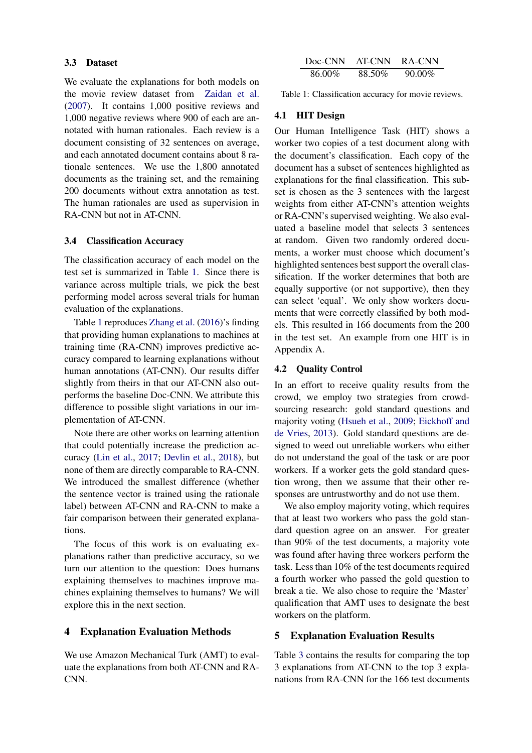#### 3.3 Dataset

We evaluate the explanations for both models on the movie review dataset from [Zaidan et al.](#page-5-0) [\(2007\)](#page-5-0). It contains 1,000 positive reviews and 1,000 negative reviews where 900 of each are annotated with human rationales. Each review is a document consisting of 32 sentences on average, and each annotated document contains about 8 rationale sentences. We use the 1,800 annotated documents as the training set, and the remaining 200 documents without extra annotation as test. The human rationales are used as supervision in RA-CNN but not in AT-CNN.

## 3.4 Classification Accuracy

The classification accuracy of each model on the test set is summarized in Table [1.](#page-2-0) Since there is variance across multiple trials, we pick the best performing model across several trials for human evaluation of the explanations.

Table [1](#page-2-0) reproduces [Zhang et al.](#page-5-1) [\(2016\)](#page-5-1)'s finding that providing human explanations to machines at training time (RA-CNN) improves predictive accuracy compared to learning explanations without human annotations (AT-CNN). Our results differ slightly from theirs in that our AT-CNN also outperforms the baseline Doc-CNN. We attribute this difference to possible slight variations in our implementation of AT-CNN.

Note there are other works on learning attention that could potentially increase the prediction accuracy [\(Lin et al.,](#page-4-12) [2017;](#page-4-12) [Devlin et al.,](#page-4-13) [2018\)](#page-4-13), but none of them are directly comparable to RA-CNN. We introduced the smallest difference (whether the sentence vector is trained using the rationale label) between AT-CNN and RA-CNN to make a fair comparison between their generated explanations.

The focus of this work is on evaluating explanations rather than predictive accuracy, so we turn our attention to the question: Does humans explaining themselves to machines improve machines explaining themselves to humans? We will explore this in the next section.

#### 4 Explanation Evaluation Methods

We use Amazon Mechanical Turk (AMT) to evaluate the explanations from both AT-CNN and RA-CNN.

<span id="page-2-0"></span>

| Doc-CNN | AT-CNN | RA-CNN    |
|---------|--------|-----------|
| 86.00%  | 88.50% | $90.00\%$ |

Table 1: Classification accuracy for movie reviews.

## 4.1 HIT Design

Our Human Intelligence Task (HIT) shows a worker two copies of a test document along with the document's classification. Each copy of the document has a subset of sentences highlighted as explanations for the final classification. This subset is chosen as the 3 sentences with the largest weights from either AT-CNN's attention weights or RA-CNN's supervised weighting. We also evaluated a baseline model that selects 3 sentences at random. Given two randomly ordered documents, a worker must choose which document's highlighted sentences best support the overall classification. If the worker determines that both are equally supportive (or not supportive), then they can select 'equal'. We only show workers documents that were correctly classified by both models. This resulted in 166 documents from the 200 in the test set. An example from one HIT is in Appendix A.

#### 4.2 Quality Control

In an effort to receive quality results from the crowd, we employ two strategies from crowdsourcing research: gold standard questions and majority voting [\(Hsueh et al.,](#page-4-14) [2009;](#page-4-14) [Eickhoff and](#page-4-15) [de Vries,](#page-4-15) [2013\)](#page-4-15). Gold standard questions are designed to weed out unreliable workers who either do not understand the goal of the task or are poor workers. If a worker gets the gold standard question wrong, then we assume that their other responses are untrustworthy and do not use them.

We also employ majority voting, which requires that at least two workers who pass the gold standard question agree on an answer. For greater than 90% of the test documents, a majority vote was found after having three workers perform the task. Less than 10% of the test documents required a fourth worker who passed the gold question to break a tie. We also chose to require the 'Master' qualification that AMT uses to designate the best workers on the platform.

# 5 Explanation Evaluation Results

Table [3](#page-3-0) contains the results for comparing the top 3 explanations from AT-CNN to the top 3 explanations from RA-CNN for the 166 test documents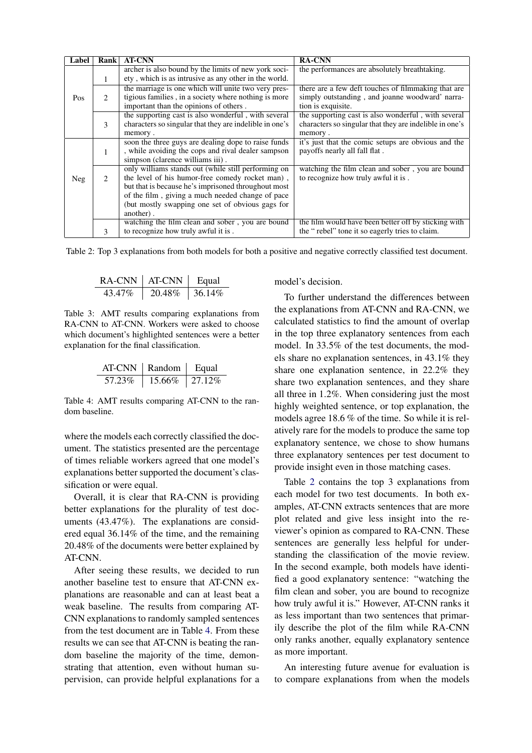<span id="page-3-2"></span>

| Label | Rank | <b>AT-CNN</b>                                                                                                                                                                                                                                                                      | <b>RA-CNN</b>                                                                                                                |
|-------|------|------------------------------------------------------------------------------------------------------------------------------------------------------------------------------------------------------------------------------------------------------------------------------------|------------------------------------------------------------------------------------------------------------------------------|
|       | 1    | archer is also bound by the limits of new york soci-<br>ety, which is as intrusive as any other in the world.                                                                                                                                                                      | the performances are absolutely breathtaking.                                                                                |
| Pos   | 2    | the marriage is one which will unite two very pres-<br>tigious families, in a society where nothing is more<br>important than the opinions of others.                                                                                                                              | there are a few deft touches of filmmaking that are<br>simply outstanding, and joanne woodward' narra-<br>tion is exquisite. |
|       | 3    | the supporting cast is also wonderful, with several<br>characters so singular that they are indelible in one's<br>memory.                                                                                                                                                          | the supporting cast is also wonderful, with several<br>characters so singular that they are indelible in one's<br>memory.    |
|       | 1    | soon the three guys are dealing dope to raise funds<br>, while avoiding the cops and rival dealer sampson<br>simpson (clarence williams iii).                                                                                                                                      | it's just that the comic setups are obvious and the<br>payoffs nearly all fall flat.                                         |
| Neg   | 2    | only williams stands out (while still performing on<br>the level of his humor-free comedy rocket man),<br>but that is because he's imprisoned throughout most<br>of the film, giving a much needed change of pace<br>(but mostly swapping one set of obvious gags for<br>another). | watching the film clean and sober, you are bound<br>to recognize how truly awful it is.                                      |
|       | 3    | watching the film clean and sober, you are bound<br>to recognize how truly awful it is.                                                                                                                                                                                            | the film would have been better off by sticking with<br>the "rebel" tone it so eagerly tries to claim.                       |

<span id="page-3-0"></span>Table 2: Top 3 explanations from both models for both a positive and negative correctly classified test document.

| RA-CNN  | ∣ AT-CNN | Equal       |
|---------|----------|-------------|
| 43.47\% | 20.48%   | $1.36.14\%$ |

Table 3: AMT results comparing explanations from RA-CNN to AT-CNN. Workers were asked to choose which document's highlighted sentences were a better explanation for the final classification.

<span id="page-3-1"></span>

| AT-CNN | Random | Equal      |
|--------|--------|------------|
| 57.23% | 15.66% | $127.12\%$ |

Table 4: AMT results comparing AT-CNN to the random baseline.

where the models each correctly classified the document. The statistics presented are the percentage of times reliable workers agreed that one model's explanations better supported the document's classification or were equal.

Overall, it is clear that RA-CNN is providing better explanations for the plurality of test documents (43.47%). The explanations are considered equal 36.14% of the time, and the remaining 20.48% of the documents were better explained by AT-CNN.

After seeing these results, we decided to run another baseline test to ensure that AT-CNN explanations are reasonable and can at least beat a weak baseline. The results from comparing AT-CNN explanations to randomly sampled sentences from the test document are in Table [4.](#page-3-1) From these results we can see that AT-CNN is beating the random baseline the majority of the time, demonstrating that attention, even without human supervision, can provide helpful explanations for a model's decision.

To further understand the differences between the explanations from AT-CNN and RA-CNN, we calculated statistics to find the amount of overlap in the top three explanatory sentences from each model. In 33.5% of the test documents, the models share no explanation sentences, in 43.1% they share one explanation sentence, in 22.2% they share two explanation sentences, and they share all three in 1.2%. When considering just the most highly weighted sentence, or top explanation, the models agree 18.6 % of the time. So while it is relatively rare for the models to produce the same top explanatory sentence, we chose to show humans three explanatory sentences per test document to provide insight even in those matching cases.

Table [2](#page-3-2) contains the top 3 explanations from each model for two test documents. In both examples, AT-CNN extracts sentences that are more plot related and give less insight into the reviewer's opinion as compared to RA-CNN. These sentences are generally less helpful for understanding the classification of the movie review. In the second example, both models have identified a good explanatory sentence: "watching the film clean and sober, you are bound to recognize how truly awful it is." However, AT-CNN ranks it as less important than two sentences that primarily describe the plot of the film while RA-CNN only ranks another, equally explanatory sentence as more important.

An interesting future avenue for evaluation is to compare explanations from when the models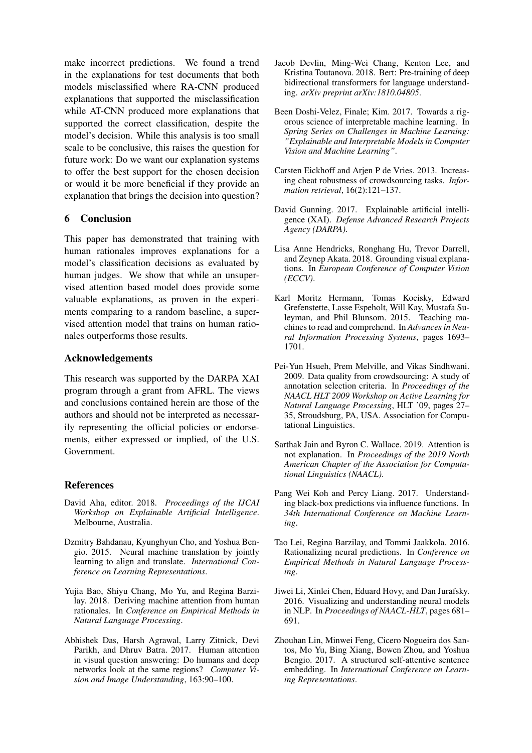make incorrect predictions. We found a trend in the explanations for test documents that both models misclassified where RA-CNN produced explanations that supported the misclassification while AT-CNN produced more explanations that supported the correct classification, despite the model's decision. While this analysis is too small scale to be conclusive, this raises the question for future work: Do we want our explanation systems to offer the best support for the chosen decision or would it be more beneficial if they provide an explanation that brings the decision into question?

# 6 Conclusion

This paper has demonstrated that training with human rationales improves explanations for a model's classification decisions as evaluated by human judges. We show that while an unsupervised attention based model does provide some valuable explanations, as proven in the experiments comparing to a random baseline, a supervised attention model that trains on human rationales outperforms those results.

#### Acknowledgements

This research was supported by the DARPA XAI program through a grant from AFRL. The views and conclusions contained herein are those of the authors and should not be interpreted as necessarily representing the official policies or endorsements, either expressed or implied, of the U.S. Government.

## References

- <span id="page-4-1"></span>David Aha, editor. 2018. *Proceedings of the IJCAI Workshop on Explainable Artificial Intelligence*. Melbourne, Australia.
- <span id="page-4-2"></span>Dzmitry Bahdanau, Kyunghyun Cho, and Yoshua Bengio. 2015. Neural machine translation by jointly learning to align and translate. *International Conference on Learning Representations*.
- <span id="page-4-11"></span>Yujia Bao, Shiyu Chang, Mo Yu, and Regina Barzilay. 2018. Deriving machine attention from human rationales. In *Conference on Empirical Methods in Natural Language Processing*.
- <span id="page-4-6"></span>Abhishek Das, Harsh Agrawal, Larry Zitnick, Devi Parikh, and Dhruv Batra. 2017. Human attention in visual question answering: Do humans and deep networks look at the same regions? *Computer Vision and Image Understanding*, 163:90–100.
- <span id="page-4-13"></span>Jacob Devlin, Ming-Wei Chang, Kenton Lee, and Kristina Toutanova. 2018. Bert: Pre-training of deep bidirectional transformers for language understanding. *arXiv preprint arXiv:1810.04805*.
- <span id="page-4-7"></span>Been Doshi-Velez, Finale; Kim. 2017. Towards a rigorous science of interpretable machine learning. In *Spring Series on Challenges in Machine Learning: "Explainable and Interpretable Models in Computer Vision and Machine Learning"*.
- <span id="page-4-15"></span>Carsten Eickhoff and Arjen P de Vries. 2013. Increasing cheat robustness of crowdsourcing tasks. *Information retrieval*, 16(2):121–137.
- <span id="page-4-0"></span>David Gunning. 2017. Explainable artificial intelligence (XAI). *Defense Advanced Research Projects Agency (DARPA)*.
- <span id="page-4-10"></span>Lisa Anne Hendricks, Ronghang Hu, Trevor Darrell, and Zeynep Akata. 2018. Grounding visual explanations. In *European Conference of Computer Vision (ECCV)*.
- <span id="page-4-3"></span>Karl Moritz Hermann, Tomas Kocisky, Edward Grefenstette, Lasse Espeholt, Will Kay, Mustafa Suleyman, and Phil Blunsom. 2015. Teaching machines to read and comprehend. In *Advances in Neural Information Processing Systems*, pages 1693– 1701.
- <span id="page-4-14"></span>Pei-Yun Hsueh, Prem Melville, and Vikas Sindhwani. 2009. Data quality from crowdsourcing: A study of annotation selection criteria. In *Proceedings of the NAACL HLT 2009 Workshop on Active Learning for Natural Language Processing*, HLT '09, pages 27– 35, Stroudsburg, PA, USA. Association for Computational Linguistics.
- <span id="page-4-4"></span>Sarthak Jain and Byron C. Wallace. 2019. Attention is not explanation. In *Proceedings of the 2019 North American Chapter of the Association for Computational Linguistics (NAACL)*.
- <span id="page-4-8"></span>Pang Wei Koh and Percy Liang. 2017. Understanding black-box predictions via influence functions. In *34th International Conference on Machine Learning*.
- <span id="page-4-5"></span>Tao Lei, Regina Barzilay, and Tommi Jaakkola. 2016. Rationalizing neural predictions. In *Conference on Empirical Methods in Natural Language Processing*.
- <span id="page-4-9"></span>Jiwei Li, Xinlei Chen, Eduard Hovy, and Dan Jurafsky. 2016. Visualizing and understanding neural models in NLP. In *Proceedings of NAACL-HLT*, pages 681– 691.
- <span id="page-4-12"></span>Zhouhan Lin, Minwei Feng, Cicero Nogueira dos Santos, Mo Yu, Bing Xiang, Bowen Zhou, and Yoshua Bengio. 2017. A structured self-attentive sentence embedding. In *International Conference on Learning Representations*.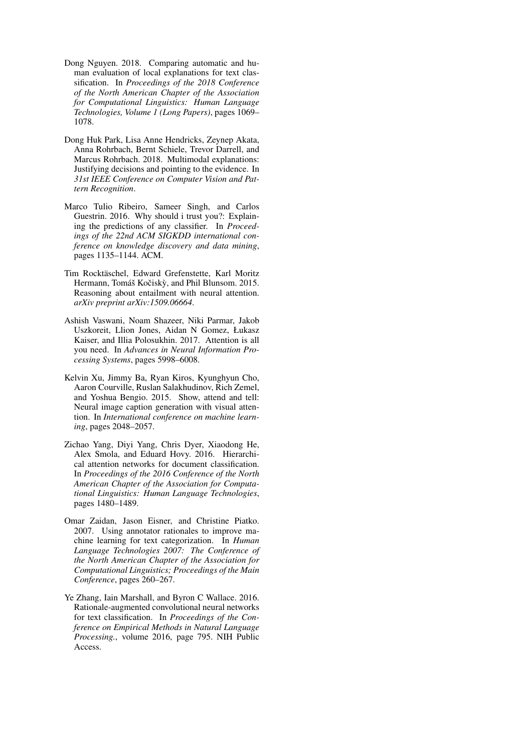- <span id="page-5-8"></span>Dong Nguyen. 2018. Comparing automatic and human evaluation of local explanations for text classification. In *Proceedings of the 2018 Conference of the North American Chapter of the Association for Computational Linguistics: Human Language Technologies, Volume 1 (Long Papers)*, pages 1069– 1078.
- <span id="page-5-4"></span>Dong Huk Park, Lisa Anne Hendricks, Zeynep Akata, Anna Rohrbach, Bernt Schiele, Trevor Darrell, and Marcus Rohrbach. 2018. Multimodal explanations: Justifying decisions and pointing to the evidence. In *31st IEEE Conference on Computer Vision and Pattern Recognition*.
- <span id="page-5-7"></span>Marco Tulio Ribeiro, Sameer Singh, and Carlos Guestrin. 2016. Why should i trust you?: Explaining the predictions of any classifier. In *Proceedings of the 22nd ACM SIGKDD international conference on knowledge discovery and data mining*, pages 1135–1144. ACM.
- <span id="page-5-5"></span>Tim Rocktäschel, Edward Grefenstette, Karl Moritz Hermann, Tomáš Kočiskỳ, and Phil Blunsom. 2015. Reasoning about entailment with neural attention. *arXiv preprint arXiv:1509.06664*.
- <span id="page-5-2"></span>Ashish Vaswani, Noam Shazeer, Niki Parmar, Jakob Uszkoreit, Llion Jones, Aidan N Gomez, Łukasz Kaiser, and Illia Polosukhin. 2017. Attention is all you need. In *Advances in Neural Information Processing Systems*, pages 5998–6008.
- <span id="page-5-6"></span>Kelvin Xu, Jimmy Ba, Ryan Kiros, Kyunghyun Cho, Aaron Courville, Ruslan Salakhudinov, Rich Zemel, and Yoshua Bengio. 2015. Show, attend and tell: Neural image caption generation with visual attention. In *International conference on machine learning*, pages 2048–2057.
- <span id="page-5-3"></span>Zichao Yang, Diyi Yang, Chris Dyer, Xiaodong He, Alex Smola, and Eduard Hovy. 2016. Hierarchical attention networks for document classification. In *Proceedings of the 2016 Conference of the North American Chapter of the Association for Computational Linguistics: Human Language Technologies*, pages 1480–1489.
- <span id="page-5-0"></span>Omar Zaidan, Jason Eisner, and Christine Piatko. 2007. Using annotator rationales to improve machine learning for text categorization. In *Human Language Technologies 2007: The Conference of the North American Chapter of the Association for Computational Linguistics; Proceedings of the Main Conference*, pages 260–267.
- <span id="page-5-1"></span>Ye Zhang, Iain Marshall, and Byron C Wallace. 2016. Rationale-augmented convolutional neural networks for text classification. In *Proceedings of the Conference on Empirical Methods in Natural Language Processing.*, volume 2016, page 795. NIH Public Access.